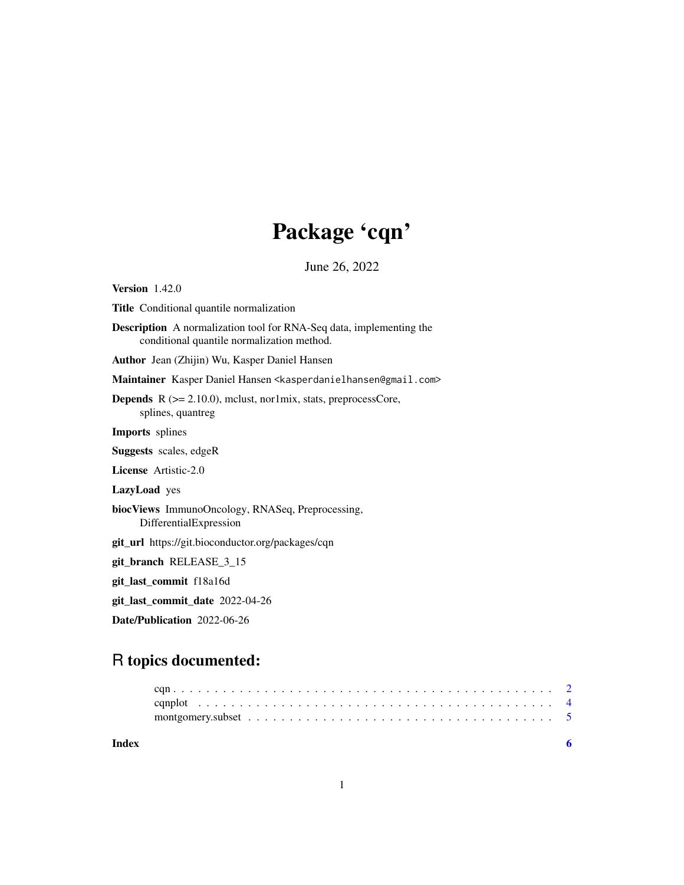## Package 'cqn'

June 26, 2022

Version 1.42.0 Title Conditional quantile normalization Description A normalization tool for RNA-Seq data, implementing the conditional quantile normalization method. Author Jean (Zhijin) Wu, Kasper Daniel Hansen Maintainer Kasper Daniel Hansen <kasperdanielhansen@gmail.com> **Depends**  $R$  ( $>= 2.10.0$ ), mclust, nor1mix, stats, preprocessCore, splines, quantreg Imports splines Suggests scales, edgeR License Artistic-2.0 LazyLoad yes biocViews ImmunoOncology, RNASeq, Preprocessing, DifferentialExpression git\_url https://git.bioconductor.org/packages/cqn git\_branch RELEASE\_3\_15 git\_last\_commit f18a16d git\_last\_commit\_date 2022-04-26 Date/Publication 2022-06-26

### R topics documented:

| Index |  |
|-------|--|
|       |  |
|       |  |
|       |  |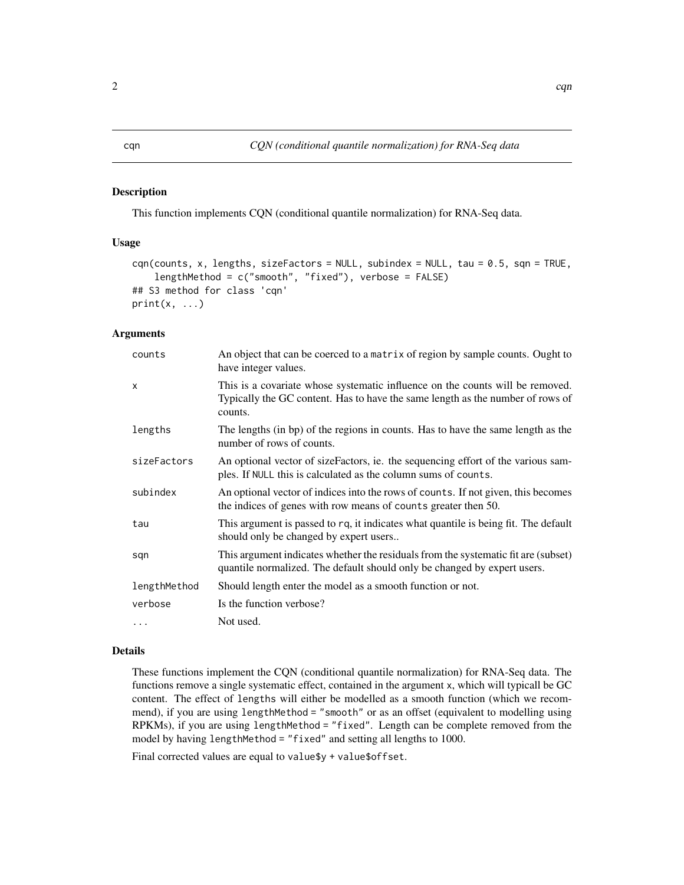#### <span id="page-1-0"></span>Description

This function implements CQN (conditional quantile normalization) for RNA-Seq data.

#### Usage

```
cqn(counts, x, lengths, sizeFactors = NULL, subindex = NULL, tau = 0.5, sqn = TRUE,
    lengthMethod = c("smooth", "fixed"), verbose = FALSE)
## S3 method for class 'cqn'
print(x, \ldots)
```
#### Arguments

| counts       | An object that can be coerced to a matrix of region by sample counts. Ought to<br>have integer values.                                                                     |
|--------------|----------------------------------------------------------------------------------------------------------------------------------------------------------------------------|
| $\mathsf{x}$ | This is a covariate whose systematic influence on the counts will be removed.<br>Typically the GC content. Has to have the same length as the number of rows of<br>counts. |
| lengths      | The lengths (in bp) of the regions in counts. Has to have the same length as the<br>number of rows of counts.                                                              |
| sizeFactors  | An optional vector of sizeFactors, ie. the sequencing effort of the various sam-<br>ples. If NULL this is calculated as the column sums of counts.                         |
| subindex     | An optional vector of indices into the rows of counts. If not given, this becomes<br>the indices of genes with row means of counts greater then 50.                        |
| tau          | This argument is passed to rq, it indicates what quantile is being fit. The default<br>should only be changed by expert users                                              |
| sqn          | This argument indicates whether the residuals from the systematic fit are (subset)<br>quantile normalized. The default should only be changed by expert users.             |
| lengthMethod | Should length enter the model as a smooth function or not.                                                                                                                 |
| verbose      | Is the function verbose?                                                                                                                                                   |
| .            | Not used.                                                                                                                                                                  |

#### Details

These functions implement the CQN (conditional quantile normalization) for RNA-Seq data. The functions remove a single systematic effect, contained in the argument x, which will typicall be GC content. The effect of lengths will either be modelled as a smooth function (which we recommend), if you are using lengthMethod = "smooth" or as an offset (equivalent to modelling using RPKMs), if you are using lengthMethod = "fixed". Length can be complete removed from the model by having lengthMethod = "fixed" and setting all lengths to 1000.

Final corrected values are equal to value\$y + value\$offset.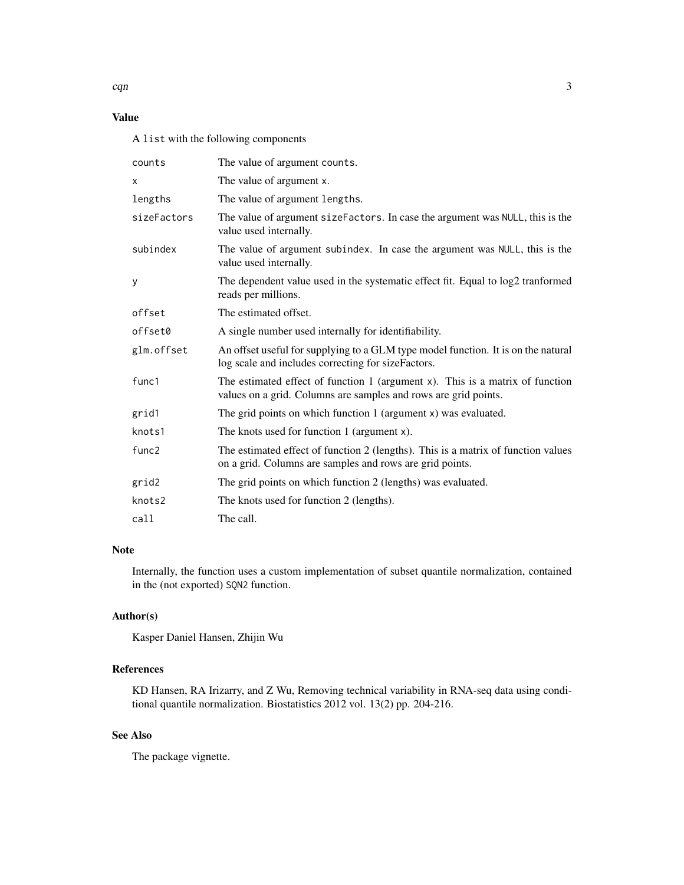#### Value

A list with the following components

| counts            | The value of argument counts.                                                                                                                      |
|-------------------|----------------------------------------------------------------------------------------------------------------------------------------------------|
| x                 | The value of argument x.                                                                                                                           |
| lengths           | The value of argument lengths.                                                                                                                     |
| sizeFactors       | The value of argument sizeFactors. In case the argument was NULL, this is the<br>value used internally.                                            |
| subindex          | The value of argument subindex. In case the argument was NULL, this is the<br>value used internally.                                               |
| У                 | The dependent value used in the systematic effect fit. Equal to log2 tranformed<br>reads per millions.                                             |
| offset            | The estimated offset.                                                                                                                              |
| offset0           | A single number used internally for identifiability.                                                                                               |
| glm.offset        | An offset useful for supplying to a GLM type model function. It is on the natural<br>log scale and includes correcting for sizeFactors.            |
| func1             | The estimated effect of function $1$ (argument x). This is a matrix of function<br>values on a grid. Columns are samples and rows are grid points. |
| grid1             | The grid points on which function $1$ (argument $x$ ) was evaluated.                                                                               |
| knots1            | The knots used for function 1 (argument x).                                                                                                        |
| func <sub>2</sub> | The estimated effect of function 2 (lengths). This is a matrix of function values<br>on a grid. Columns are samples and rows are grid points.      |
| grid2             | The grid points on which function 2 (lengths) was evaluated.                                                                                       |
| knots2            | The knots used for function 2 (lengths).                                                                                                           |
| call              | The call.                                                                                                                                          |

#### Note

Internally, the function uses a custom implementation of subset quantile normalization, contained in the (not exported) SQN2 function.

#### Author(s)

Kasper Daniel Hansen, Zhijin Wu

#### References

KD Hansen, RA Irizarry, and Z Wu, Removing technical variability in RNA-seq data using conditional quantile normalization. Biostatistics 2012 vol. 13(2) pp. 204-216.

#### See Also

The package vignette.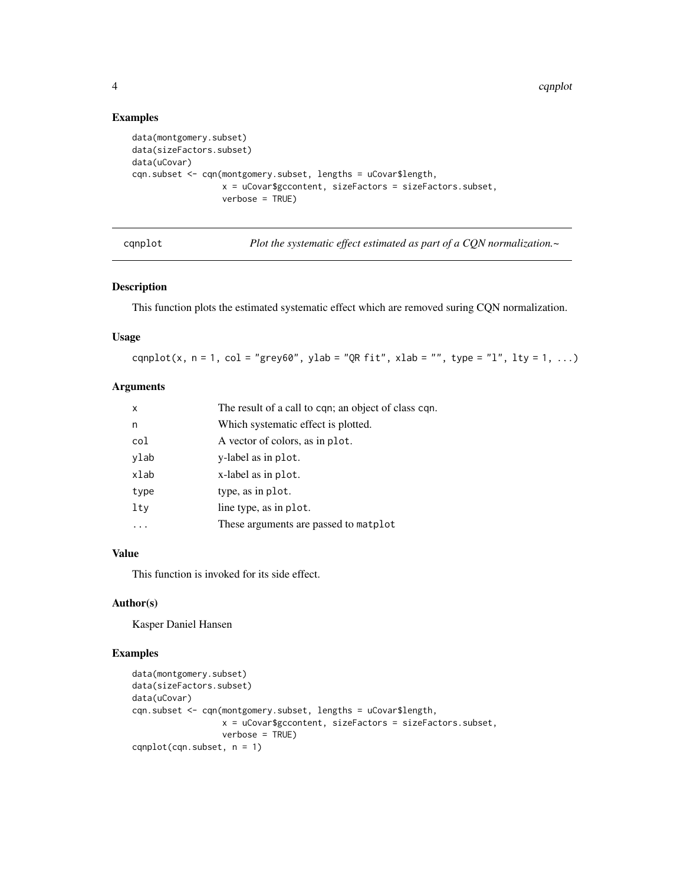4 cqual control of the control of the control of the control of the control of the control of the control of the control of the control of the control of the control of the control of the control of the control of the cont

#### Examples

```
data(montgomery.subset)
data(sizeFactors.subset)
data(uCovar)
cqn.subset <- cqn(montgomery.subset, lengths = uCovar$length,
                  x = uCovar$gccontent, sizeFactors = sizeFactors.subset,
                  verbose = TRUE)
```
cqnplot *Plot the systematic effect estimated as part of a CQN normalization.~*

#### Description

This function plots the estimated systematic effect which are removed suring CQN normalization.

#### Usage

cqnplot(x, n = 1, col = "grey60", ylab = "QR fit", xlab = "", type = "l", lty = 1, ...)

#### Arguments

| $\mathsf{x}$ | The result of a call to cqn; an object of class cqn. |
|--------------|------------------------------------------------------|
| n            | Which systematic effect is plotted.                  |
| col          | A vector of colors, as in plot.                      |
| ylab         | y-label as in plot.                                  |
| xlab         | x-label as in plot.                                  |
| type         | type, as in plot.                                    |
| lty          | line type, as in plot.                               |
|              | These arguments are passed to matplot                |

#### Value

This function is invoked for its side effect.

#### Author(s)

Kasper Daniel Hansen

#### Examples

```
data(montgomery.subset)
data(sizeFactors.subset)
data(uCovar)
cqn.subset <- cqn(montgomery.subset, lengths = uCovar$length,
                 x = uCovar$gccontent, sizeFactors = sizeFactors.subset,
                 verbose = TRUE)
cqnplot(cqn.subset, n = 1)
```
<span id="page-3-0"></span>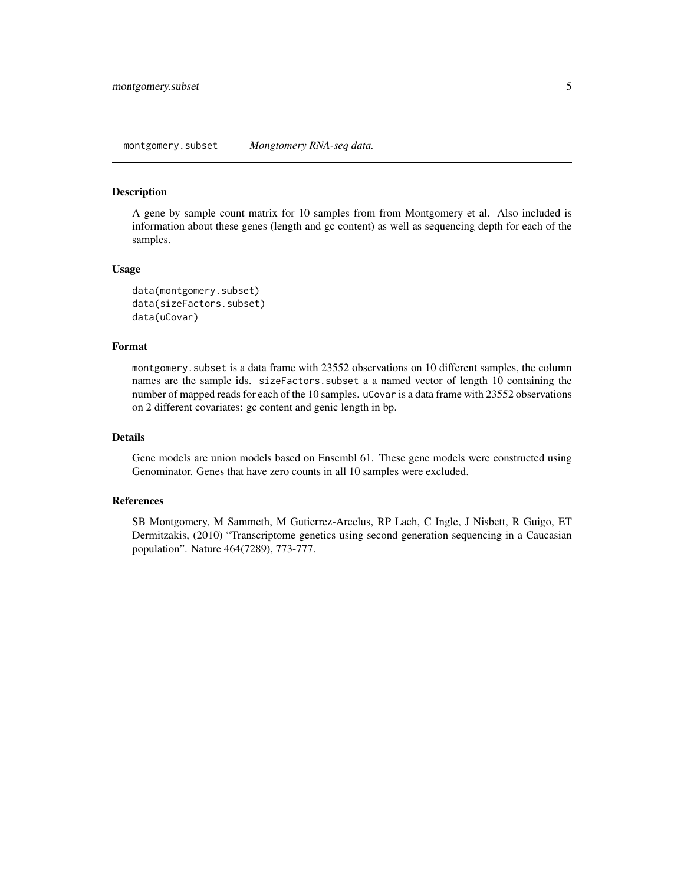#### <span id="page-4-0"></span>Description

A gene by sample count matrix for 10 samples from from Montgomery et al. Also included is information about these genes (length and gc content) as well as sequencing depth for each of the samples.

#### Usage

```
data(montgomery.subset)
data(sizeFactors.subset)
data(uCovar)
```
#### Format

montgomery.subset is a data frame with 23552 observations on 10 different samples, the column names are the sample ids. sizeFactors.subset a a named vector of length 10 containing the number of mapped reads for each of the 10 samples. uCovar is a data frame with 23552 observations on 2 different covariates: gc content and genic length in bp.

#### Details

Gene models are union models based on Ensembl 61. These gene models were constructed using Genominator. Genes that have zero counts in all 10 samples were excluded.

#### References

SB Montgomery, M Sammeth, M Gutierrez-Arcelus, RP Lach, C Ingle, J Nisbett, R Guigo, ET Dermitzakis, (2010) "Transcriptome genetics using second generation sequencing in a Caucasian population". Nature 464(7289), 773-777.